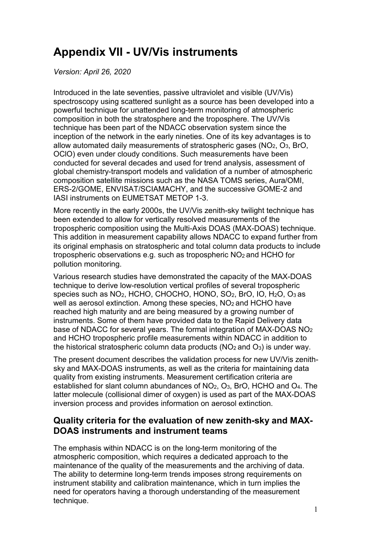# **Appendix VII - UV/Vis instruments**

*Version: April 26, 2020*

Introduced in the late seventies, passive ultraviolet and visible (UV/Vis) spectroscopy using scattered sunlight as a source has been developed into a powerful technique for unattended long-term monitoring of atmospheric composition in both the stratosphere and the troposphere. The UV/Vis technique has been part of the NDACC observation system since the inception of the network in the early nineties. One of its key advantages is to allow automated daily measurements of stratospheric gases (NO2, O3, BrO, OClO) even under cloudy conditions. Such measurements have been conducted for several decades and used for trend analysis, assessment of global chemistry-transport models and validation of a number of atmospheric composition satellite missions such as the NASA TOMS series, Aura/OMI, ERS-2/GOME, ENVISAT/SCIAMACHY, and the successive GOME-2 and IASI instruments on EUMETSAT METOP 1-3.

More recently in the early 2000s, the UV/Vis zenith-sky twilight technique has been extended to allow for vertically resolved measurements of the tropospheric composition using the Multi-Axis DOAS (MAX-DOAS) technique. This addition in measurement capability allows NDACC to expand further from its original emphasis on stratospheric and total column data products to include tropospheric observations e.g. such as tropospheric NO<sub>2</sub> and HCHO for pollution monitoring.

Various research studies have demonstrated the capacity of the MAX-DOAS technique to derive low-resolution vertical profiles of several tropospheric species such as NO2, HCHO, CHOCHO, HONO, SO2, BrO, IO, H2O, O3 as well as aerosol extinction. Among these species, NO<sub>2</sub> and HCHO have reached high maturity and are being measured by a growing number of instruments. Some of them have provided data to the Rapid Delivery data base of NDACC for several years. The formal integration of MAX-DOAS NO2 and HCHO tropospheric profile measurements within NDACC in addition to the historical stratospheric column data products ( $NO<sub>2</sub>$  and  $O<sub>3</sub>$ ) is under way.

The present document describes the validation process for new UV/Vis zenithsky and MAX-DOAS instruments, as well as the criteria for maintaining data quality from existing instruments. Measurement certification criteria are established for slant column abundances of NO<sub>2</sub>, O<sub>3</sub>, BrO, HCHO and O<sub>4</sub>. The latter molecule (collisional dimer of oxygen) is used as part of the MAX-DOAS inversion process and provides information on aerosol extinction.

## **Quality criteria for the evaluation of new zenith-sky and MAX-DOAS instruments and instrument teams**

The emphasis within NDACC is on the long-term monitoring of the atmospheric composition, which requires a dedicated approach to the maintenance of the quality of the measurements and the archiving of data. The ability to determine long-term trends imposes strong requirements on instrument stability and calibration maintenance, which in turn implies the need for operators having a thorough understanding of the measurement technique.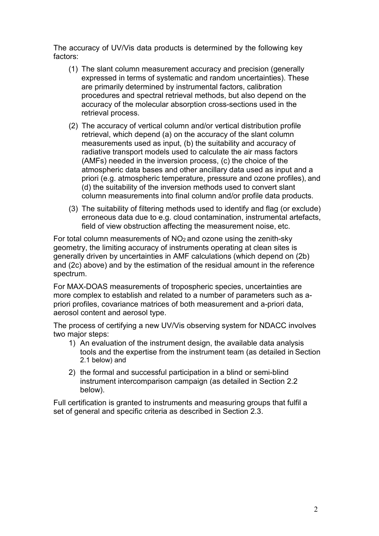The accuracy of UV/Vis data products is determined by the following key factors:

- (1) The slant column measurement accuracy and precision (generally expressed in terms of systematic and random uncertainties). These are primarily determined by instrumental factors, calibration procedures and spectral retrieval methods, but also depend on the accuracy of the molecular absorption cross-sections used in the retrieval process.
- (2) The accuracy of vertical column and/or vertical distribution profile retrieval, which depend (a) on the accuracy of the slant column measurements used as input, (b) the suitability and accuracy of radiative transport models used to calculate the air mass factors (AMFs) needed in the inversion process, (c) the choice of the atmospheric data bases and other ancillary data used as input and a priori (e.g. atmospheric temperature, pressure and ozone profiles), and (d) the suitability of the inversion methods used to convert slant column measurements into final column and/or profile data products.
- (3) The suitability of filtering methods used to identify and flag (or exclude) erroneous data due to e.g. cloud contamination, instrumental artefacts, field of view obstruction affecting the measurement noise, etc.

For total column measurements of  $NO<sub>2</sub>$  and ozone using the zenith-sky geometry, the limiting accuracy of instruments operating at clean sites is generally driven by uncertainties in AMF calculations (which depend on (2b) and (2c) above) and by the estimation of the residual amount in the reference spectrum.

For MAX-DOAS measurements of tropospheric species, uncertainties are more complex to establish and related to a number of parameters such as apriori profiles, covariance matrices of both measurement and a-priori data, aerosol content and aerosol type.

The process of certifying a new UV/Vis observing system for NDACC involves two major steps:

- 1) An evaluation of the instrument design, the available data analysis tools and the expertise from the instrument team (as detailed in Section 2.1 below) and
- 2) the formal and successful participation in a blind or semi-blind instrument intercomparison campaign (as detailed in Section 2.2 below).

Full certification is granted to instruments and measuring groups that fulfil a set of general and specific criteria as described in Section 2.3.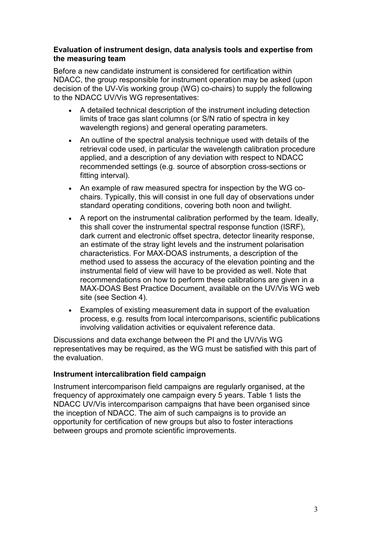#### **Evaluation of instrument design, data analysis tools and expertise from the measuring team**

Before a new candidate instrument is considered for certification within NDACC, the group responsible for instrument operation may be asked (upon decision of the UV-Vis working group (WG) co-chairs) to supply the following to the NDACC UV/Vis WG representatives:

- A detailed technical description of the instrument including detection limits of trace gas slant columns (or S/N ratio of spectra in key wavelength regions) and general operating parameters.
- An outline of the spectral analysis technique used with details of the retrieval code used, in particular the wavelength calibration procedure applied, and a description of any deviation with respect to NDACC recommended settings (e.g. source of absorption cross-sections or fitting interval).
- An example of raw measured spectra for inspection by the WG cochairs. Typically, this will consist in one full day of observations under standard operating conditions, covering both noon and twilight.
- A report on the instrumental calibration performed by the team. Ideally, this shall cover the instrumental spectral response function (ISRF), dark current and electronic offset spectra, detector linearity response, an estimate of the stray light levels and the instrument polarisation characteristics. For MAX-DOAS instruments, a description of the method used to assess the accuracy of the elevation pointing and the instrumental field of view will have to be provided as well. Note that recommendations on how to perform these calibrations are given in a MAX-DOAS Best Practice Document, available on the UV/Vis WG web site (see Section 4).
- Examples of existing measurement data in support of the evaluation process, e.g. results from local intercomparisons, scientific publications involving validation activities or equivalent reference data.

Discussions and data exchange between the PI and the UV/Vis WG representatives may be required, as the WG must be satisfied with this part of the evaluation.

#### **Instrument intercalibration field campaign**

Instrument intercomparison field campaigns are regularly organised, at the frequency of approximately one campaign every 5 years. Table 1 lists the NDACC UV/Vis intercomparison campaigns that have been organised since the inception of NDACC. The aim of such campaigns is to provide an opportunity for certification of new groups but also to foster interactions between groups and promote scientific improvements.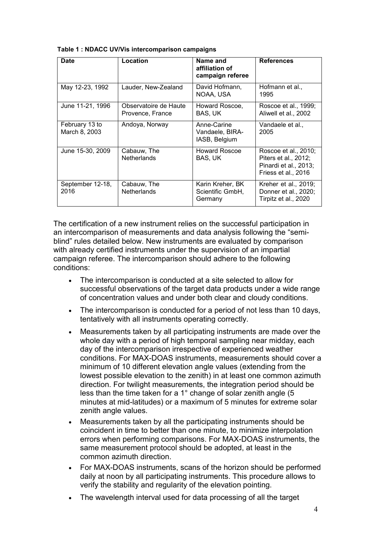| <b>Date</b>                     | Location                                  | Name and<br>affiliation of<br>campaign referee  | <b>References</b>                                                                            |
|---------------------------------|-------------------------------------------|-------------------------------------------------|----------------------------------------------------------------------------------------------|
| May 12-23, 1992                 | Lauder, New-Zealand                       | David Hofmann,<br>NOAA, USA                     | Hofmann et al.,<br>1995                                                                      |
| June 11-21, 1996                | Observatoire de Haute<br>Provence, France | Howard Roscoe,<br>BAS, UK                       | Roscoe et al., 1999;<br>Aliwell et al., 2002                                                 |
| February 13 to<br>March 8, 2003 | Andoya, Norway                            | Anne-Carine<br>Vandaele, BIRA-<br>IASB, Belgium | Vandaele et al<br>2005                                                                       |
| June 15-30, 2009                | Cabauw, The<br><b>Netherlands</b>         | Howard Roscoe<br>BAS, UK                        | Roscoe et al., 2010;<br>Piters et al., 2012;<br>Pinardi et al., 2013;<br>Friess et al., 2016 |
| September 12-18,<br>2016        | Cabauw, The<br><b>Netherlands</b>         | Karin Kreher, BK<br>Scientific GmbH,<br>Germany | Kreher et al., 2019;<br>Donner et al., 2020;<br>Tirpitz et al., 2020                         |

**Table 1 : NDACC UV/Vis intercomparison campaigns**

The certification of a new instrument relies on the successful participation in an intercomparison of measurements and data analysis following the "semiblind" rules detailed below. New instruments are evaluated by comparison with already certified instruments under the supervision of an impartial campaign referee. The intercomparison should adhere to the following conditions:

- The intercomparison is conducted at a site selected to allow for successful observations of the target data products under a wide range of concentration values and under both clear and cloudy conditions.
- The intercomparison is conducted for a period of not less than 10 days, tentatively with all instruments operating correctly.
- Measurements taken by all participating instruments are made over the whole day with a period of high temporal sampling near midday, each day of the intercomparison irrespective of experienced weather conditions. For MAX-DOAS instruments, measurements should cover a minimum of 10 different elevation angle values (extending from the lowest possible elevation to the zenith) in at least one common azimuth direction. For twilight measurements, the integration period should be less than the time taken for a 1° change of solar zenith angle (5 minutes at mid-latitudes) or a maximum of 5 minutes for extreme solar zenith angle values.
- Measurements taken by all the participating instruments should be coincident in time to better than one minute, to minimize interpolation errors when performing comparisons. For MAX-DOAS instruments, the same measurement protocol should be adopted, at least in the common azimuth direction.
- For MAX-DOAS instruments, scans of the horizon should be performed daily at noon by all participating instruments. This procedure allows to verify the stability and regularity of the elevation pointing.
- The wavelength interval used for data processing of all the target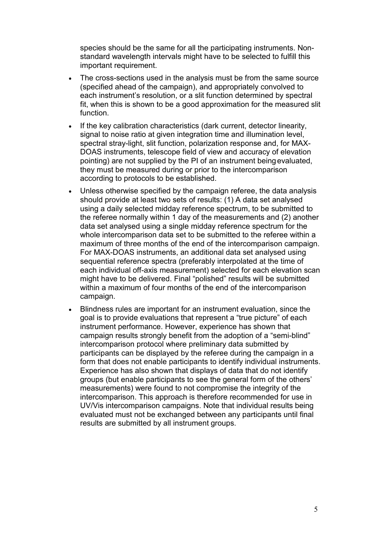species should be the same for all the participating instruments. Nonstandard wavelength intervals might have to be selected to fulfill this important requirement.

- The cross-sections used in the analysis must be from the same source (specified ahead of the campaign), and appropriately convolved to each instrument's resolution, or a slit function determined by spectral fit, when this is shown to be a good approximation for the measured slit function.
- If the key calibration characteristics (dark current, detector linearity, signal to noise ratio at given integration time and illumination level, spectral stray-light, slit function, polarization response and, for MAX-DOAS instruments, telescope field of view and accuracy of elevation pointing) are not supplied by the PI of an instrument beingevaluated, they must be measured during or prior to the intercomparison according to protocols to be established.
- Unless otherwise specified by the campaign referee, the data analysis should provide at least two sets of results: (1) A data set analysed using a daily selected midday reference spectrum, to be submitted to the referee normally within 1 day of the measurements and (2) another data set analysed using a single midday reference spectrum for the whole intercomparison data set to be submitted to the referee within a maximum of three months of the end of the intercomparison campaign. For MAX-DOAS instruments, an additional data set analysed using sequential reference spectra (preferably interpolated at the time of each individual off-axis measurement) selected for each elevation scan might have to be delivered. Final "polished" results will be submitted within a maximum of four months of the end of the intercomparison campaign.
- Blindness rules are important for an instrument evaluation, since the goal is to provide evaluations that represent a "true picture" of each instrument performance. However, experience has shown that campaign results strongly benefit from the adoption of a "semi-blind" intercomparison protocol where preliminary data submitted by participants can be displayed by the referee during the campaign in a form that does not enable participants to identify individual instruments. Experience has also shown that displays of data that do not identify groups (but enable participants to see the general form of the others' measurements) were found to not compromise the integrity of the intercomparison. This approach is therefore recommended for use in UV/Vis intercomparison campaigns. Note that individual results being evaluated must not be exchanged between any participants until final results are submitted by all instrument groups.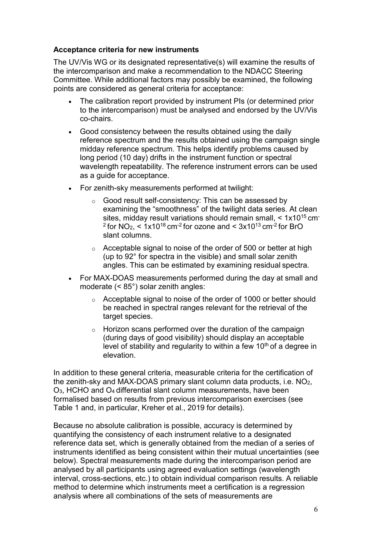#### **Acceptance criteria for new instruments**

The UV/Vis WG or its designated representative(s) will examine the results of the intercomparison and make a recommendation to the NDACC Steering Committee. While additional factors may possibly be examined, the following points are considered as general criteria for acceptance:

- The calibration report provided by instrument PIs (or determined prior to the intercomparison) must be analysed and endorsed by the UV/Vis co-chairs.
- Good consistency between the results obtained using the daily reference spectrum and the results obtained using the campaign single midday reference spectrum. This helps identify problems caused by long period (10 day) drifts in the instrument function or spectral wavelength repeatability. The reference instrument errors can be used as a guide for acceptance.
- For zenith-sky measurements performed at twilight:
	- o Good result self-consistency: This can be assessed by examining the "smoothness" of the twilight data series. At clean sites, midday result variations should remain small, < 1x1015 cm- $2$  for NO<sub>2</sub>,  $\leq 1x10^{18}$  cm<sup>-2</sup> for ozone and  $\leq 3x10^{13}$  cm<sup>-2</sup> for BrO slant columns.
	- $\circ$  Acceptable signal to noise of the order of 500 or better at high (up to 92° for spectra in the visible) and small solar zenith angles. This can be estimated by examining residual spectra.
- For MAX-DOAS measurements performed during the day at small and moderate (< 85°) solar zenith angles:
	- o Acceptable signal to noise of the order of 1000 or better should be reached in spectral ranges relevant for the retrieval of the target species.
	- $\circ$  Horizon scans performed over the duration of the campaign (during days of good visibility) should display an acceptable level of stability and regularity to within a few  $10<sup>th</sup>$  of a degree in elevation.

In addition to these general criteria, measurable criteria for the certification of the zenith-sky and MAX-DOAS primary slant column data products, i.e. NO2, O3, HCHO and O4 differential slant column measurements, have been formalised based on results from previous intercomparison exercises (see Table 1 and, in particular, Kreher et al., 2019 for details).

Because no absolute calibration is possible, accuracy is determined by quantifying the consistency of each instrument relative to a designated reference data set, which is generally obtained from the median of a series of instruments identified as being consistent within their mutual uncertainties (see below). Spectral measurements made during the intercomparison period are analysed by all participants using agreed evaluation settings (wavelength interval, cross-sections, etc.) to obtain individual comparison results. A reliable method to determine which instruments meet a certification is a regression analysis where all combinations of the sets of measurements are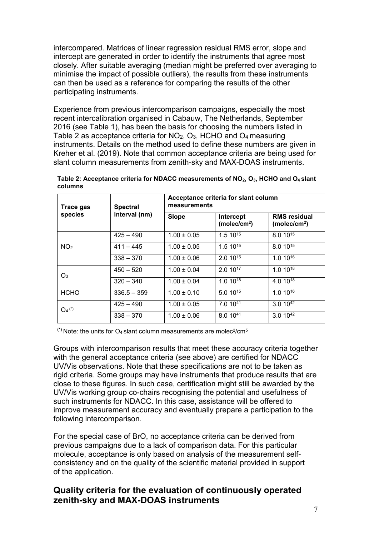intercompared. Matrices of linear regression residual RMS error, slope and intercept are generated in order to identify the instruments that agree most closely. After suitable averaging (median might be preferred over averaging to minimise the impact of possible outliers), the results from these instruments can then be used as a reference for comparing the results of the other participating instruments.

Experience from previous intercomparison campaigns, especially the most recent intercalibration organised in Cabauw, The Netherlands, September 2016 (see Table 1), has been the basis for choosing the numbers listed in Table 2 as acceptance criteria for NO2, O3, HCHO and O4 measuring instruments. Details on the method used to define these numbers are given in Kreher et al. (2019). Note that common acceptance criteria are being used for slant column measurements from zenith-sky and MAX-DOAS instruments.

| Trace gas<br>species | <b>Spectral</b><br>interval (nm) | Acceptance criteria for slant column<br>measurements |                                              |                                                 |
|----------------------|----------------------------------|------------------------------------------------------|----------------------------------------------|-------------------------------------------------|
|                      |                                  | <b>Slope</b>                                         | <b>Intercept</b><br>(molec/cm <sup>2</sup> ) | <b>RMS</b> residual<br>(molec/cm <sup>2</sup> ) |
| NO <sub>2</sub>      | $425 - 490$                      | $1.00 \pm 0.05$                                      | $1.510^{15}$                                 | 8.0 10 <sup>15</sup>                            |
|                      | $411 - 445$                      | $1.00 \pm 0.05$                                      | $1.510^{15}$                                 | 8.0 10 <sup>15</sup>                            |
|                      | $338 - 370$                      | $1.00 \pm 0.06$                                      | $2.010^{15}$                                 | $1.010^{16}$                                    |
| $O_3$                | $450 - 520$                      | $1.00 \pm 0.04$                                      | $2.010^{17}$                                 | $1.010^{18}$                                    |
|                      | $320 - 340$                      | $1.00 \pm 0.04$                                      | $1.010^{18}$                                 | 4.0 10 <sup>18</sup>                            |
| <b>HCHO</b>          | $336.5 - 359$                    | $1.00 \pm 0.10$                                      | $5.010^{15}$                                 | $1.010^{16}$                                    |
| $O_4$ (*)            | $425 - 490$                      | $1.00 \pm 0.05$                                      | 7.0 1041                                     | $3.010^{42}$                                    |
|                      | $338 - 370$                      | $1.00 \pm 0.06$                                      | 8.0 1041                                     | $3.010^{42}$                                    |

**Table 2: Acceptance criteria for NDACC measurements of NO2, O3, HCHO and O4 slant columns**

 $(*)$  Note: the units for  $O_4$  slant column measurements are molec<sup>2</sup>/cm<sup>5</sup>

Groups with intercomparison results that meet these accuracy criteria together with the general acceptance criteria (see above) are certified for NDACC UV/Vis observations. Note that these specifications are not to be taken as rigid criteria. Some groups may have instruments that produce results that are close to these figures. In such case, certification might still be awarded by the UV/Vis working group co-chairs recognising the potential and usefulness of such instruments for NDACC. In this case, assistance will be offered to improve measurement accuracy and eventually prepare a participation to the following intercomparison.

For the special case of BrO, no acceptance criteria can be derived from previous campaigns due to a lack of comparison data. For this particular molecule, acceptance is only based on analysis of the measurement selfconsistency and on the quality of the scientific material provided in support of the application.

## **Quality criteria for the evaluation of continuously operated zenith-sky and MAX-DOAS instruments**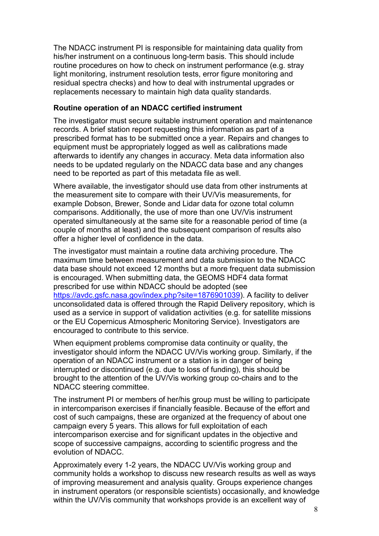The NDACC instrument PI is responsible for maintaining data quality from his/her instrument on a continuous long-term basis. This should include routine procedures on how to check on instrument performance (e.g. stray light monitoring, instrument resolution tests, error figure monitoring and residual spectra checks) and how to deal with instrumental upgrades or replacements necessary to maintain high data quality standards.

#### **Routine operation of an NDACC certified instrument**

The investigator must secure suitable instrument operation and maintenance records. A brief station report requesting this information as part of a prescribed format has to be submitted once a year. Repairs and changes to equipment must be appropriately logged as well as calibrations made afterwards to identify any changes in accuracy. Meta data information also needs to be updated regularly on the NDACC data base and any changes need to be reported as part of this metadata file as well.

Where available, the investigator should use data from other instruments at the measurement site to compare with their UV/Vis measurements, for example Dobson, Brewer, Sonde and Lidar data for ozone total column comparisons. Additionally, the use of more than one UV/Vis instrument operated simultaneously at the same site for a reasonable period of time (a couple of months at least) and the subsequent comparison of results also offer a higher level of confidence in the data.

The investigator must maintain a routine data archiving procedure. The maximum time between measurement and data submission to the NDACC data base should not exceed 12 months but a more frequent data submission is encouraged. When submitting data, the GEOMS HDF4 data format prescribed for use within NDACC should be adopted (see [https://avdc.gsfc.nasa.gov/index.php?site=1876901039\)](https://avdc.gsfc.nasa.gov/index.php?site=1876901039). A facility to deliver unconsolidated data is offered through the Rapid Delivery repository, which is used as a service in support of validation activities (e.g. for satellite missions or the EU Copernicus Atmospheric Monitoring Service). Investigators are encouraged to contribute to this service.

When equipment problems compromise data continuity or quality, the investigator should inform the NDACC UV/Vis working group. Similarly, if the operation of an NDACC instrument or a station is in danger of being interrupted or discontinued (e.g. due to loss of funding), this should be brought to the attention of the UV/Vis working group co-chairs and to the NDACC steering committee.

The instrument PI or members of her/his group must be willing to participate in intercomparison exercises if financially feasible. Because of the effort and cost of such campaigns, these are organized at the frequency of about one campaign every 5 years. This allows for full exploitation of each intercomparison exercise and for significant updates in the objective and scope of successive campaigns, according to scientific progress and the evolution of NDACC.

Approximately every 1-2 years, the NDACC UV/Vis working group and community holds a workshop to discuss new research results as well as ways of improving measurement and analysis quality. Groups experience changes in instrument operators (or responsible scientists) occasionally, and knowledge within the UV/Vis community that workshops provide is an excellent way of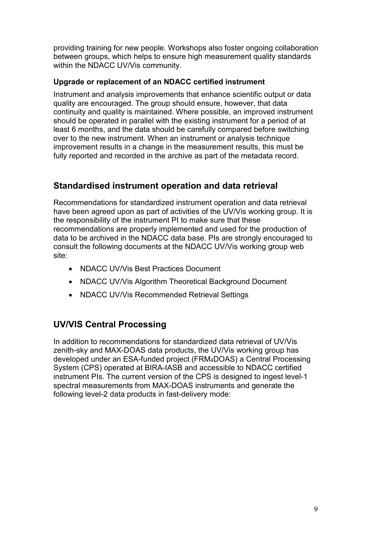providing training for new people. Workshops also foster ongoing collaboration between groups, which helps to ensure high measurement quality standards within the NDACC UV/Vis community.

#### **Upgrade or replacement of an NDACC certified instrument**

Instrument and analysis improvements that enhance scientific output or data quality are encouraged. The group should ensure, however, that data continuity and quality is maintained. Where possible, an improved instrument should be operated in parallel with the existing instrument for a period of at least 6 months, and the data should be carefully compared before switching over to the new instrument. When an instrument or analysis technique improvement results in a change in the measurement results, this must be fully reported and recorded in the archive as part of the metadata record.

## **Standardised instrument operation and data retrieval**

Recommendations for standardized instrument operation and data retrieval have been agreed upon as part of activities of the UV/Vis working group. It is the responsibility of the instrument PI to make sure that these recommendations are properly implemented and used for the production of data to be archived in the NDACC data base. PIs are strongly encouraged to consult the following documents at the NDACC UV/Vis working group web site:

- NDACC UV/Vis Best Practices Document
- NDACC UV/Vis Algorithm Theoretical Background Document
- NDACC UV/Vis Recommended Retrieval Settings

## **UV/VIS Central Processing**

In addition to recommendations for standardized data retrieval of UV/Vis zenith-sky and MAX-DOAS data products, the UV/Vis working group has developed under an ESA-funded project (FRM4DOAS) a Central Processing System (CPS) operated at BIRA-IASB and accessible to NDACC certified instrument PIs. The current version of the CPS is designed to ingest level-1 spectral measurements from MAX-DOAS instruments and generate the following level-2 data products in fast-delivery mode: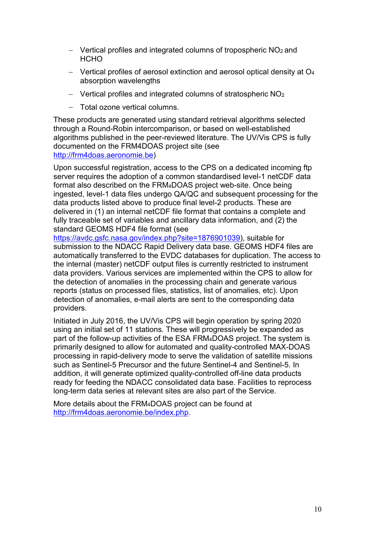- − Vertical profiles and integrated columns of tropospheric NO2 and **HCHO**
- − Vertical profiles of aerosol extinction and aerosol optical density at O4 absorption wavelengths
- − Vertical profiles and integrated columns of stratospheric NO2
- − Total ozone vertical columns.

These products are generated using standard retrieval algorithms selected through a Round-Robin intercomparison, or based on well-established algorithms published in the peer-reviewed literature. The UV/Vis CPS is fully documented on the FRM4DOAS project site (see [http://frm4doas.aeronomie.be\)](http://frm4doas.aeronomie.be/)

Upon successful registration, access to the CPS on a dedicated incoming ftp server requires the adoption of a common standardised level-1 netCDF data format also described on the FRM4DOAS project web-site. Once being ingested, level-1 data files undergo QA/QC and subsequent processing for the data products listed above to produce final level-2 products. These are delivered in (1) an internal netCDF file format that contains a complete and fully traceable set of variables and ancillary data information, and (2) the standard GEOMS HDF4 file format (see

[https://avdc.gsfc.nasa.gov/index.php?site=1876901039\)](https://avdc.gsfc.nasa.gov/index.php?site=1876901039), suitable for submission to the NDACC Rapid Delivery data base. GEOMS HDF4 files are automatically transferred to the EVDC databases for duplication. The access to the internal (master) netCDF output files is currently restricted to instrument data providers. Various services are implemented within the CPS to allow for the detection of anomalies in the processing chain and generate various reports (status on processed files, statistics, list of anomalies, etc). Upon detection of anomalies, e-mail alerts are sent to the corresponding data providers.

Initiated in July 2016, the UV/Vis CPS will begin operation by spring 2020 using an initial set of 11 stations. These will progressively be expanded as part of the follow-up activities of the ESA FRM4DOAS project. The system is primarily designed to allow for automated and quality-controlled MAX-DOAS processing in rapid-delivery mode to serve the validation of satellite missions such as Sentinel-5 Precursor and the future Sentinel-4 and Sentinel-5. In addition, it will generate optimized quality-controlled off-line data products ready for feeding the NDACC consolidated data base. Facilities to reprocess long-term data series at relevant sites are also part of the Service.

More details about the FRM4DOAS project can be found at [http://frm4doas.aeronomie.be/index.php.](http://frm4doas.aeronomie.be/index.php)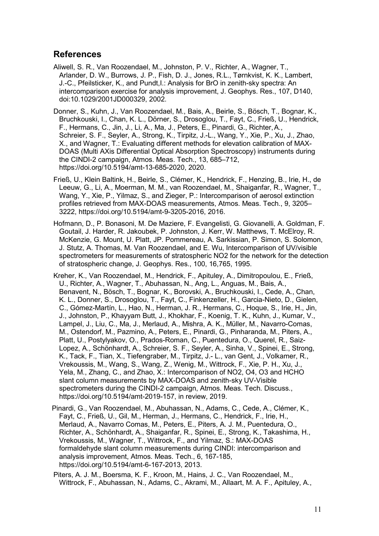### **References**

- Aliwell, S. R., Van Roozendael, M., Johnston, P. V., Richter, A., Wagner, T., Arlander, D. W., Burrows, J. P., Fish, D. J., Jones, R.L., Tørnkvist, K. K., Lambert, J.-C., Pfeilsticker, K., and Pundt,I.: Analysis for BrO in zenith-sky spectra: An intercomparison exercise for analysis improvement, J. Geophys. Res., 107, D140, doi:10.1029/2001JD000329, 2002.
- Donner, S., Kuhn, J., Van Roozendael, M., Bais, A., Beirle, S., Bösch, T., Bognar, K., Bruchkouski, I., Chan, K. L., Dörner, S., Drosoglou, T., Fayt, C., Frieß, U., Hendrick, F., Hermans, C., Jin, J., Li, A., Ma, J., Peters, E., Pinardi, G., Richter,A., Schreier, S. F., Seyler, A., Strong, K., Tirpitz, J.-L., Wang, Y., Xie, P., Xu, J., Zhao, X., and Wagner, T.: Evaluating different methods for elevation calibration of MAX-DOAS (Multi AXis Differential Optical Absorption Spectroscopy) instruments during the CINDI-2 campaign, Atmos. Meas. Tech., 13, 685–712, [https://doi.org/10.5194/amt-13-685-2020,](https://doi.org/10.5194/amt-13-685-2020) 2020.
- Frieß, U., Klein Baltink, H., Beirle, S., Clémer, K., Hendrick, F., Henzing, B., Irie, H., de Leeuw, G., Li, A., Moerman, M. M., van Roozendael, M., Shaiganfar, R., Wagner, T., Wang, Y., Xie, P., Yilmaz, S., and Zieger, P.: Intercomparison of aerosol extinction profiles retrieved from MAX-DOAS measurements, Atmos. Meas. Tech., 9, 3205– 3222, https://doi.org/10.5194/amt-9-3205-2016, 2016.
- Hofmann, D., P. Bonasoni, M. De Maziere, F. Evangelisti, G. Giovanelli, A. Goldman, F. Goutail, J. Harder, R. Jakoubek, P. Johnston, J. Kerr, W. Matthews, T. McElroy, R. McKenzie, G. Mount, U. Platt, JP. Pommereau, A. Sarkissian, P. Simon, S. Solomon, J. Stutz, A. Thomas, M. Van Roozendael, and E. Wu, Intercomparison of UV/visible spectrometers for measurements of stratospheric NO2 for the network for the detection of stratospheric change, J. Geophys. Res., 100, 16,765, 1995.
- Kreher, K., Van Roozendael, M., Hendrick, F., Apituley, A., Dimitropoulou, E., Frieß, U., Richter, A., Wagner, T., Abuhassan, N., Ang, L., Anguas, M., Bais, A., Benavent, N., Bösch, T., Bognar, K., Borovski, A., Bruchkouski, I., Cede, A., Chan, K. L., Donner, S., Drosoglou, T., Fayt, C., Finkenzeller, H., Garcia-Nieto, D., Gielen, C., Gómez-Martín, L., Hao, N., Herman, J. R., Hermans, C., Hoque, S., Irie, H., Jin, J., Johnston, P., Khayyam Butt, J., Khokhar, F., Koenig, T. K., Kuhn, J., Kumar, V., Lampel, J., Liu, C., Ma, J., Merlaud, A., Mishra, A. K., Müller, M., Navarro-Comas, M., Ostendorf, M., Pazmino, A., Peters, E., Pinardi, G., Pinharanda, M., Piters, A., Platt, U., Postylyakov, O., Prados-Roman, C., Puentedura, O., Querel, R., Saiz-Lopez, A., Schönhardt, A., Schreier, S. F., Seyler, A., Sinha, V., Spinei, E., Strong, K., Tack, F., Tian, X., Tiefengraber, M., Tirpitz, J.- L., van Gent, J., Volkamer, R., Vrekoussis, M., Wang, S., Wang, Z., Wenig, M., Wittrock, F., Xie, P. H., Xu, J., Yela, M., Zhang, C., and Zhao, X.: Intercomparison of NO2, O4, O3 and HCHO slant column measurements by MAX-DOAS and zenith-sky UV-Visible spectrometers during the CINDI-2 campaign, Atmos. Meas. Tech. Discuss., https://doi.org/10.5194/amt-2019-157, in review, 2019.
- Pinardi, G., Van Roozendael, M., Abuhassan, N., Adams, C., Cede, A., Clémer, K., Fayt, C., Frieß, U., Gil, M., Herman, J., Hermans, C., Hendrick, F., Irie, H., Merlaud, A., Navarro Comas, M., Peters, E., Piters, A. J. M., Puentedura, O., Richter, A., Schönhardt, A., Shaiganfar, R., Spinei, E., Strong, K., Takashima, H., Vrekoussis, M., Wagner, T., Wittrock, F., and Yilmaz, S.: MAX-DOAS formaldehyde slant column measurements during CINDI: intercomparison and analysis improvement, Atmos. Meas. Tech., 6, 167-185, https://doi.org/10.5194/amt-6-167-2013, 2013.
- Piters, A. J. M., Boersma, K. F., Kroon, M., Hains, J. C., Van Roozendael, M., Wittrock, F., Abuhassan, N., Adams, C., Akrami, M., Allaart, M. A. F., Apituley, A.,